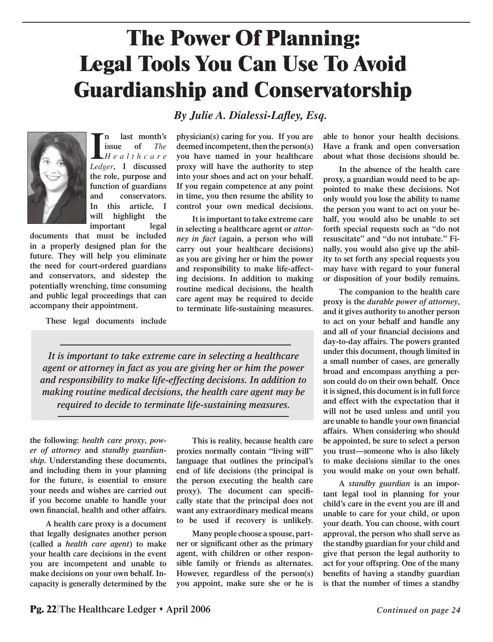## **The Power Of Planning: Legal Tools You Can Use To Avoid Guardianship and Conservatorship**

*By Julie A. Dialessi-Lafley, Esq.* 



**I** *Ledger***, I discussed n last month's issue of** *The H e a l t h c a r e*  **the role, purpose and function of guardians and conservators. In this article, I will highlight the important legal** 

**documents that must be included in a properly designed plan for the future. They will help you eliminate the need for court-ordered guardians and conservators, and sidestep the potentially wrenching, time consuming and public legal proceedings that can accompany their appointment.**

**These legal documents include** 

**physician(s) caring for you. If you are deemed incompetent, then the person(s) you have named in your healthcare proxy will have the authority to step into your shoes and act on your behalf. If you regain competence at any point in time, you then resume the ability to control your own medical decisions.** 

**It is important to take extreme care in selecting a healthcare agent or** *attorney in fact* **(again, a person who will carry out your healthcare decisions) as you are giving her or him the power and responsibility to make life-affecting decisions. In addition to making routine medical decisions, the health care agent may be required to decide to terminate life-sustaining measures.**

*It is important to take extreme care in selecting a healthcare agent or attorney in fact as you are giving her or him the power and responsibility to make life-effecting decisions. In addition to making routine medical decisions, the health care agent may be required to decide to terminate life-sustaining measures.*

**the following:** *health care proxy***,** *power of attorney* **and** *standby guardianship***. Understanding these documents, and including them in your planning for the future, is essential to ensure your needs and wishes are carried out if you become unable to handle your**   $own financial, health, and other affairs.$ 

**A health care proxy is a document that legally designates another person (called a** *health care agent***) to make your health care decisions in the event you are incompetent and unable to make decisions on your own behalf. Incapacity is generally determined by the** 

**This is reality, because health care proxies normally contain "living will" language that outlines the principal's end of life decisions (the principal is the person executing the health care**  proxy). The document can specifi**cally state that the principal does not want any extraordinary medical means to be used if recovery is unlikely.**

**Many people choose a spouse, part**ner or significant other as the primary **agent, with children or other responsible family or friends as alternates. However, regardless of the person(s) you appoint, make sure she or he is**  **able to honor your health decisions. Have a frank and open conversation about what those decisions should be.**

**In the absence of the health care proxy, a guardian would need to be appointed to make these decisions. Not only would you lose the ability to name the person you want to act on your behalf, you would also be unable to set forth special requests such as "do not resuscitate" and "do not intubate." Finally, you would also give up the ability to set forth any special requests you may have with regard to your funeral or disposition of your bodily remains.** 

**The companion to the health care proxy is the** *durable power of attorney***, and it gives authority to another person to act on your behalf and handle any**  and all of your financial decisions and **day-to-day affairs. The powers granted under this document, though limited in a small number of cases, are generally broad and encompass anything a person could do on their own behalf. Once it is signed, this document is in full force and effect with the expectation that it will not be used unless and until you**  are unable to handle your own financial **affairs. When considering who should be appointed, be sure to select a person you trust—someone who is also likely to make decisions similar to the ones you would make on your own behalf.**

**A** *standby guardian* **is an important legal tool in planning for your child's care in the event you are ill and unable to care for your child, or upon your death. You can choose, with court approval, the person who shall serve as the standby guardian for your child and give that person the legal authority to act for your offspring. One of the many**  benefits of having a standby guardian **is that the number of times a standby**